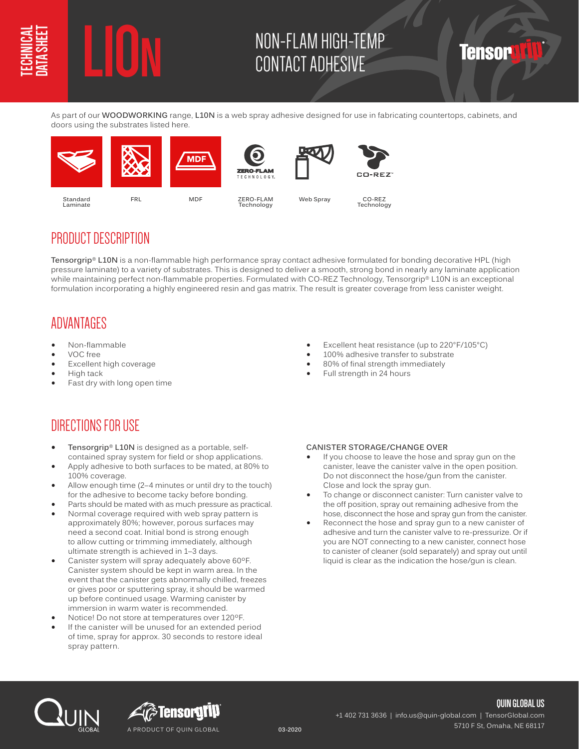# **L10N** NON-FLAM HIGH-TEMP CONTACT ADHESIVE

As part of our **WOODWORKING** range, **L10N** is a web spray adhesive designed for use in fabricating countertops, cabinets, and doors using the substrates listed here.



## PRODUCT DESCRIPTION

**Tensorgrip® L10N** is a non-flammable high performance spray contact adhesive formulated for bonding decorative HPL (high pressure laminate) to a variety of substrates. This is designed to deliver a smooth, strong bond in nearly any laminate application while maintaining perfect non-flammable properties. Formulated with CO-REZ Technology, Tensorgrip® L10N is an exceptional formulation incorporating a highly engineered resin and gas matrix. The result is greater coverage from less canister weight.

## ADVANTAGES

- Non-flammable
- VOC free
- Excellent high coverage
- High tack
- Fast dry with long open time

• Excellent heat resistance (up to 220°F/105°C)

Tensor

- 100% adhesive transfer to substrate
- 80% of final strength immediately
- Full strength in 24 hours

# DIRECTIONS FOR USE

- **• Tensorgrip® L10N** is designed as a portable, selfcontained spray system for field or shop applications.
- Apply adhesive to both surfaces to be mated, at 80% to 100% coverage.
- Allow enough time (2–4 minutes or until dry to the touch) for the adhesive to become tacky before bonding.
- Parts should be mated with as much pressure as practical.
- Normal coverage required with web spray pattern is approximately 80%; however, porous surfaces may need a second coat. Initial bond is strong enough to allow cutting or trimming immediately, although ultimate strength is achieved in 1–3 days.
- Canister system will spray adequately above 60ºF. Canister system should be kept in warm area. In the event that the canister gets abnormally chilled, freezes or gives poor or sputtering spray, it should be warmed up before continued usage. Warming canister by immersion in warm water is recommended.
- Notice! Do not store at temperatures over 120ºF.
- If the canister will be unused for an extended period of time, spray for approx. 30 seconds to restore ideal spray pattern.

#### **CANISTER STORAGE/CHANGE OVER**

- If you choose to leave the hose and spray gun on the canister, leave the canister valve in the open position. Do not disconnect the hose/gun from the canister. Close and lock the spray gun.
- To change or disconnect canister: Turn canister valve to the off position, spray out remaining adhesive from the hose, disconnect the hose and spray gun from the canister.
- Reconnect the hose and spray gun to a new canister of adhesive and turn the canister valve to re-pressurize. Or if you are NOT connecting to a new canister, connect hose to canister of cleaner (sold separately) and spray out until liquid is clear as the indication the hose/gun is clean.





**QUIN GLOBAL US** +1 402 731 3636 | info.us@quin-global.com | TensorGlobal.com 5710 F St, Omaha, NE 68117 **03-2020**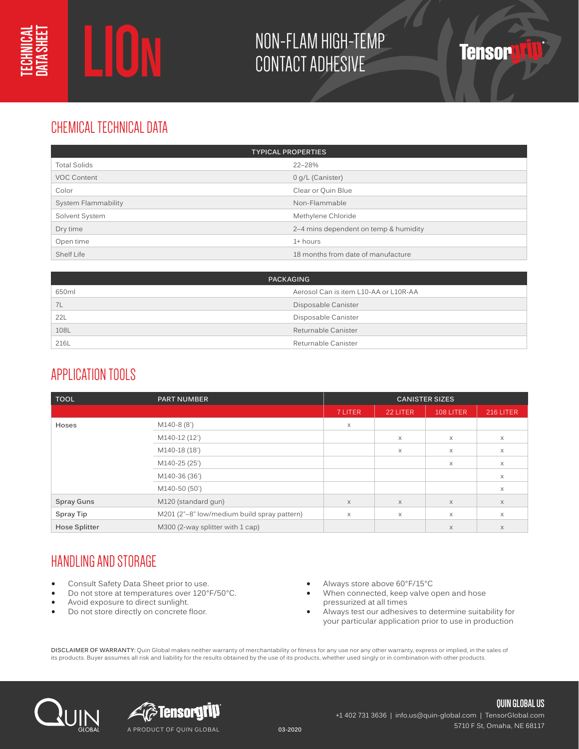# **L10N** NON-FLAM HIGH-TEMP CONTACT ADHESIVE

# CHEMICAL TECHNICAL DATA

| <b>TYPICAL PROPERTIES</b> |                                       |  |
|---------------------------|---------------------------------------|--|
| <b>Total Solids</b>       | 22-28%                                |  |
| <b>VOC Content</b>        | 0 g/L (Canister)                      |  |
| Color                     | Clear or Quin Blue                    |  |
| System Flammability       | Non-Flammable                         |  |
| Solvent System            | Methylene Chloride                    |  |
| Dry time                  | 2–4 mins dependent on temp & humidity |  |
| Open time                 | 1+ hours                              |  |
| Shelf Life                | 18 months from date of manufacture    |  |

|       | <b>PACKAGING</b>                      |
|-------|---------------------------------------|
| 650ml | Aerosol Can is item L10-AA or L10R-AA |
| 7L    | Disposable Canister                   |
| 22L   | Disposable Canister                   |
| 108L  | Returnable Canister                   |
| 216L  | Returnable Canister                   |

# APPLICATION TOOLS

| <b>TOOL</b>          | <b>PART NUMBER</b>                          | <b>CANISTER SIZES</b> |          |           |           |
|----------------------|---------------------------------------------|-----------------------|----------|-----------|-----------|
|                      |                                             | 7 LITER               | 22 LITER | 108 LITER | 216 LITER |
| Hoses                | M140-8 (8')                                 | X                     |          |           |           |
|                      | M140-12 (12')                               |                       | $\times$ | $\times$  | $\times$  |
|                      | M140-18 (18')                               |                       | $\times$ | $\times$  | $\times$  |
|                      | M140-25 (25')                               |                       |          | X         | $\times$  |
|                      | M140-36 (36')                               |                       |          |           | $\times$  |
|                      | M140-50 (50')                               |                       |          |           | X         |
| <b>Spray Guns</b>    | M120 (standard gun)                         | $\times$              | $\times$ | $\times$  | $\times$  |
| Spray Tip            | M201 (2"-8" low/medium build spray pattern) | $\times$              | $\times$ | $\times$  | $\times$  |
| <b>Hose Splitter</b> | M300 (2-way splitter with 1 cap)            |                       |          | $\times$  | $\times$  |

# HANDLING AND STORAGE

- Consult Safety Data Sheet prior to use.
- Do not store at temperatures over 120°F/50°C.
- Avoid exposure to direct sunlight.
- Do not store directly on concrete floor.
- Always store above 60°F/15°C
- When connected, keep valve open and hose pressurized at all times
- Always test our adhesives to determine suitability for your particular application prior to use in production

**DISCLAIMER OF WARRANTY:** Quin Global makes neither warranty of merchantability or fitness for any use nor any other warranty, express or implied, in the sales of its products. Buyer assumes all risk and liability for the results obtained by the use of its products, whether used singly or in combination with other products.





**QUIN GLOBAL US** +1 402 731 3636 | info.us@quin-global.com | TensorGlobal.com 5710 F St, Omaha, NE 68117 **03-2020**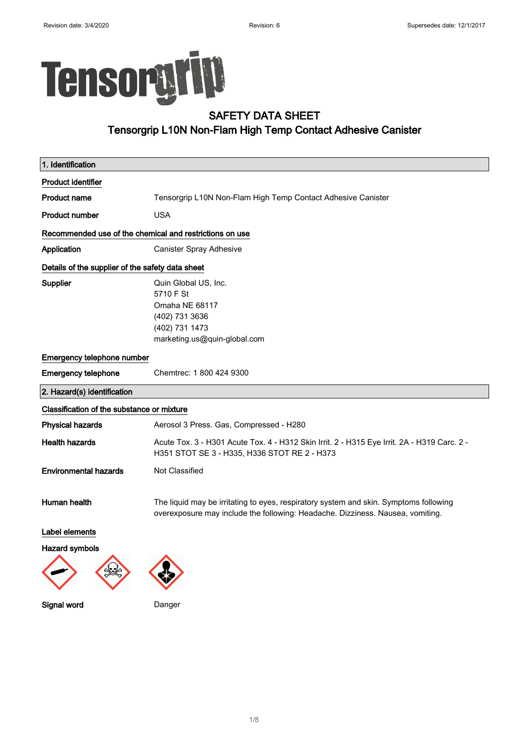$\begin{array}{c} \hline \end{array}$ 

 $\begin{array}{c} \hline \end{array}$ 

# Tensorgrip

Signal word Danger

## SAFETY DATA SHEET Tensorgrip L10N Non-Flam High Temp Contact Adhesive Canister

| 1. Identification                                       |                                                                                                                                                                         |  |  |
|---------------------------------------------------------|-------------------------------------------------------------------------------------------------------------------------------------------------------------------------|--|--|
| <b>Product identifier</b>                               |                                                                                                                                                                         |  |  |
| Product name                                            | Tensorgrip L10N Non-Flam High Temp Contact Adhesive Canister                                                                                                            |  |  |
| <b>Product number</b>                                   | USA                                                                                                                                                                     |  |  |
| Recommended use of the chemical and restrictions on use |                                                                                                                                                                         |  |  |
| <b>Application</b>                                      | Canister Spray Adhesive                                                                                                                                                 |  |  |
| Details of the supplier of the safety data sheet        |                                                                                                                                                                         |  |  |
| Supplier                                                | Quin Global US, Inc.<br>5710 F St<br>Omaha NE 68117<br>(402) 731 3636<br>(402) 731 1473<br>marketing.us@quin-global.com                                                 |  |  |
| <b>Emergency telephone number</b>                       |                                                                                                                                                                         |  |  |
| <b>Emergency telephone</b>                              | Chemtrec: 1 800 424 9300                                                                                                                                                |  |  |
| 2. Hazard(s) identification                             |                                                                                                                                                                         |  |  |
| Classification of the substance or mixture              |                                                                                                                                                                         |  |  |
| <b>Physical hazards</b>                                 | Aerosol 3 Press. Gas, Compressed - H280                                                                                                                                 |  |  |
| <b>Health hazards</b>                                   | Acute Tox. 3 - H301 Acute Tox. 4 - H312 Skin Irrit. 2 - H315 Eye Irrit. 2A - H319 Carc. 2 -<br>H351 STOT SE 3 - H335, H336 STOT RE 2 - H373                             |  |  |
| <b>Environmental hazards</b>                            | Not Classified                                                                                                                                                          |  |  |
| Human health                                            | The liquid may be irritating to eyes, respiratory system and skin. Symptoms following<br>overexposure may include the following: Headache. Dizziness. Nausea, vomiting. |  |  |
| Label elements                                          |                                                                                                                                                                         |  |  |
| <b>Hazard symbols</b>                                   |                                                                                                                                                                         |  |  |
|                                                         |                                                                                                                                                                         |  |  |

1/ 8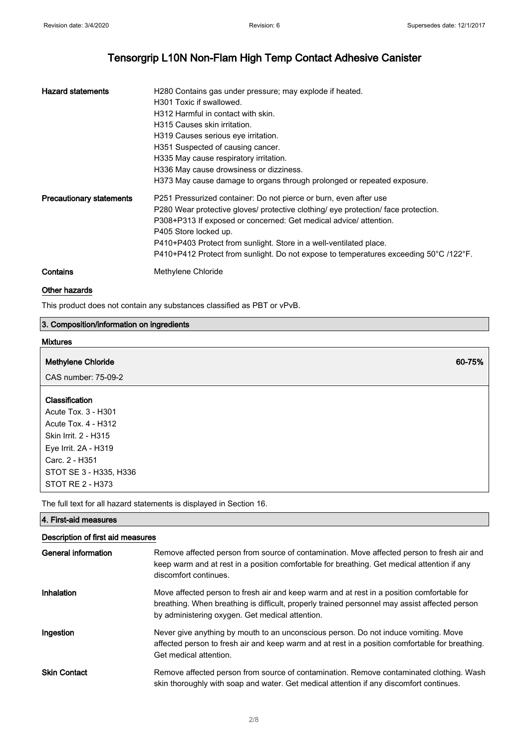| <b>Hazard statements</b>        | H280 Contains gas under pressure; may explode if heated.<br>H301 Toxic if swallowed.<br>H312 Harmful in contact with skin.<br>H315 Causes skin irritation.<br>H319 Causes serious eye irritation.<br>H351 Suspected of causing cancer.<br>H335 May cause respiratory irritation.<br>H336 May cause drowsiness or dizziness.<br>H373 May cause damage to organs through prolonged or repeated exposure.              |
|---------------------------------|---------------------------------------------------------------------------------------------------------------------------------------------------------------------------------------------------------------------------------------------------------------------------------------------------------------------------------------------------------------------------------------------------------------------|
| <b>Precautionary statements</b> | P251 Pressurized container: Do not pierce or burn, even after use<br>P280 Wear protective gloves/ protective clothing/ eye protection/ face protection.<br>P308+P313 If exposed or concerned: Get medical advice/ attention.<br>P405 Store locked up.<br>P410+P403 Protect from sunlight. Store in a well-ventilated place.<br>P410+P412 Protect from sunlight. Do not expose to temperatures exceeding 50°C/122°F. |
| Contains                        | Methylene Chloride                                                                                                                                                                                                                                                                                                                                                                                                  |

#### Other hazards

This product does not contain any substances classified as PBT or vPvB.

## 3. Composition/information on ingredients

| <b>Mixtures</b>                            |        |
|--------------------------------------------|--------|
| <b>Methylene Chloride</b>                  | 60-75% |
| CAS number: 75-09-2                        |        |
| Classification                             |        |
| Acute Tox. 3 - H301<br>Acute Tox. 4 - H312 |        |
| Skin Irrit. 2 - H315                       |        |
| Eye Irrit. 2A - H319<br>Carc. 2 - H351     |        |
| STOT SE 3 - H335, H336                     |        |
| STOT RE 2 - H373                           |        |

The full text for all hazard statements is displayed in Section 16.

| 4. First-aid measures             |                                                                                                                                                                                                                                               |  |  |
|-----------------------------------|-----------------------------------------------------------------------------------------------------------------------------------------------------------------------------------------------------------------------------------------------|--|--|
| Description of first aid measures |                                                                                                                                                                                                                                               |  |  |
| General information               | Remove affected person from source of contamination. Move affected person to fresh air and<br>keep warm and at rest in a position comfortable for breathing. Get medical attention if any<br>discomfort continues.                            |  |  |
| <b>Inhalation</b>                 | Move affected person to fresh air and keep warm and at rest in a position comfortable for<br>breathing. When breathing is difficult, properly trained personnel may assist affected person<br>by administering oxygen. Get medical attention. |  |  |
| Ingestion                         | Never give anything by mouth to an unconscious person. Do not induce vomiting. Move<br>affected person to fresh air and keep warm and at rest in a position comfortable for breathing.<br>Get medical attention.                              |  |  |
| <b>Skin Contact</b>               | Remove affected person from source of contamination. Remove contaminated clothing. Wash<br>skin thoroughly with soap and water. Get medical attention if any discomfort continues.                                                            |  |  |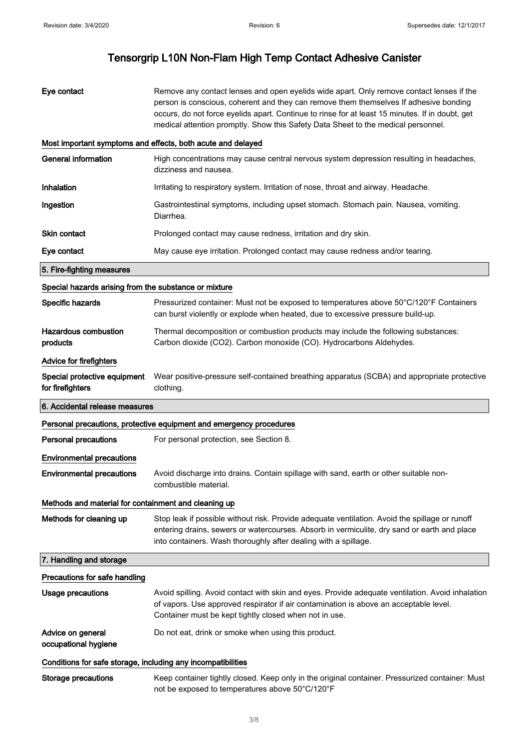| Eye contact                                                  | Remove any contact lenses and open eyelids wide apart. Only remove contact lenses if the<br>person is conscious, coherent and they can remove them themselves If adhesive bonding<br>occurs, do not force eyelids apart. Continue to rinse for at least 15 minutes. If in doubt, get<br>medical attention promptly. Show this Safety Data Sheet to the medical personnel. |  |  |
|--------------------------------------------------------------|---------------------------------------------------------------------------------------------------------------------------------------------------------------------------------------------------------------------------------------------------------------------------------------------------------------------------------------------------------------------------|--|--|
|                                                              | Most important symptoms and effects, both acute and delayed                                                                                                                                                                                                                                                                                                               |  |  |
| <b>General information</b>                                   | High concentrations may cause central nervous system depression resulting in headaches,<br>dizziness and nausea.                                                                                                                                                                                                                                                          |  |  |
| Inhalation                                                   | Irritating to respiratory system. Irritation of nose, throat and airway. Headache.                                                                                                                                                                                                                                                                                        |  |  |
| Ingestion                                                    | Gastrointestinal symptoms, including upset stomach. Stomach pain. Nausea, vomiting.<br>Diarrhea.                                                                                                                                                                                                                                                                          |  |  |
| <b>Skin contact</b>                                          | Prolonged contact may cause redness, irritation and dry skin.                                                                                                                                                                                                                                                                                                             |  |  |
| Eye contact                                                  | May cause eye irritation. Prolonged contact may cause redness and/or tearing.                                                                                                                                                                                                                                                                                             |  |  |
| 5. Fire-fighting measures                                    |                                                                                                                                                                                                                                                                                                                                                                           |  |  |
| Special hazards arising from the substance or mixture        |                                                                                                                                                                                                                                                                                                                                                                           |  |  |
| Specific hazards                                             | Pressurized container: Must not be exposed to temperatures above 50°C/120°F Containers<br>can burst violently or explode when heated, due to excessive pressure build-up.                                                                                                                                                                                                 |  |  |
| <b>Hazardous combustion</b><br>products                      | Thermal decomposition or combustion products may include the following substances:<br>Carbon dioxide (CO2). Carbon monoxide (CO). Hydrocarbons Aldehydes.                                                                                                                                                                                                                 |  |  |
| <b>Advice for firefighters</b>                               |                                                                                                                                                                                                                                                                                                                                                                           |  |  |
| Special protective equipment<br>for firefighters             | Wear positive-pressure self-contained breathing apparatus (SCBA) and appropriate protective<br>clothing.                                                                                                                                                                                                                                                                  |  |  |
| 6. Accidental release measures                               |                                                                                                                                                                                                                                                                                                                                                                           |  |  |
|                                                              | Personal precautions, protective equipment and emergency procedures                                                                                                                                                                                                                                                                                                       |  |  |
| <b>Personal precautions</b>                                  | For personal protection, see Section 8.                                                                                                                                                                                                                                                                                                                                   |  |  |
| <b>Environmental precautions</b>                             |                                                                                                                                                                                                                                                                                                                                                                           |  |  |
| <b>Environmental precautions</b>                             | Avoid discharge into drains. Contain spillage with sand, earth or other suitable non-<br>combustible material.                                                                                                                                                                                                                                                            |  |  |
| Methods and material for containment and cleaning up         |                                                                                                                                                                                                                                                                                                                                                                           |  |  |
| Methods for cleaning up                                      | Stop leak if possible without risk. Provide adequate ventilation. Avoid the spillage or runoff<br>entering drains, sewers or watercourses. Absorb in vermiculite, dry sand or earth and place<br>into containers. Wash thoroughly after dealing with a spillage.                                                                                                          |  |  |
| 7. Handling and storage                                      |                                                                                                                                                                                                                                                                                                                                                                           |  |  |
| Precautions for safe handling                                |                                                                                                                                                                                                                                                                                                                                                                           |  |  |
| <b>Usage precautions</b>                                     | Avoid spilling. Avoid contact with skin and eyes. Provide adequate ventilation. Avoid inhalation<br>of vapors. Use approved respirator if air contamination is above an acceptable level.<br>Container must be kept tightly closed when not in use.                                                                                                                       |  |  |
| Advice on general<br>occupational hygiene                    | Do not eat, drink or smoke when using this product.                                                                                                                                                                                                                                                                                                                       |  |  |
| Conditions for safe storage, including any incompatibilities |                                                                                                                                                                                                                                                                                                                                                                           |  |  |
| <b>Storage precautions</b>                                   | Keep container tightly closed. Keep only in the original container. Pressurized container: Must<br>not be exposed to temperatures above 50°C/120°F                                                                                                                                                                                                                        |  |  |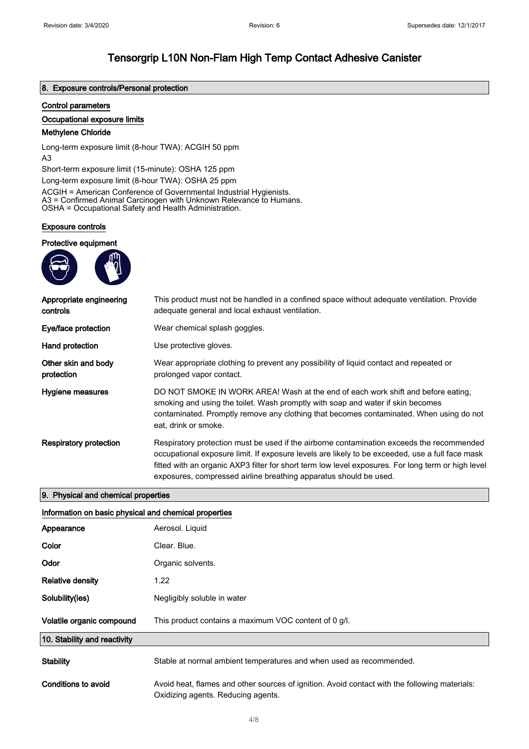#### 8. Exposure controls/Personal protection

#### Control parameters

#### Occupational exposure limits

#### Methylene Chloride

Long-term exposure limit (8-hour TWA): ACGIH 50 ppm A3

Short-term exposure limit (15-minute): OSHA 125 ppm

Long-term exposure limit (8-hour TWA): OSHA 25 ppm

ACGIH = American Conference of Governmental Industrial Hygienists. A3 = Confirmed Animal Carcinogen with Unknown Relevance to Humans. OSHA = Occupational Safety and Health Administration.

#### Exposure controls

#### Protective equipment



| Appropriate engineering<br>controls | This product must not be handled in a confined space without adequate ventilation. Provide<br>adequate general and local exhaust ventilation.                                                                                                                                                                                                                           |
|-------------------------------------|-------------------------------------------------------------------------------------------------------------------------------------------------------------------------------------------------------------------------------------------------------------------------------------------------------------------------------------------------------------------------|
| Eye/face protection                 | Wear chemical splash goggles.                                                                                                                                                                                                                                                                                                                                           |
| Hand protection                     | Use protective gloves.                                                                                                                                                                                                                                                                                                                                                  |
| Other skin and body<br>protection   | Wear appropriate clothing to prevent any possibility of liquid contact and repeated or<br>prolonged vapor contact.                                                                                                                                                                                                                                                      |
| Hygiene measures                    | DO NOT SMOKE IN WORK AREA! Wash at the end of each work shift and before eating.<br>smoking and using the toilet. Wash promptly with soap and water if skin becomes<br>contaminated. Promptly remove any clothing that becomes contaminated. When using do not<br>eat, drink or smoke.                                                                                  |
| <b>Respiratory protection</b>       | Respiratory protection must be used if the airborne contamination exceeds the recommended<br>occupational exposure limit. If exposure levels are likely to be exceeded, use a full face mask<br>fitted with an organic AXP3 filter for short term low level exposures. For long term or high level<br>exposures, compressed airline breathing apparatus should be used. |

#### 9. Physical and chemical properties

| Information on basic physical and chemical properties |                                                                                                                                     |  |
|-------------------------------------------------------|-------------------------------------------------------------------------------------------------------------------------------------|--|
| Appearance                                            | Aerosol. Liquid                                                                                                                     |  |
| Color                                                 | Clear, Blue.                                                                                                                        |  |
| <b>Odor</b>                                           | Organic solvents.                                                                                                                   |  |
| <b>Relative density</b>                               | 1.22                                                                                                                                |  |
| Solubility(ies)                                       | Negligibly soluble in water                                                                                                         |  |
| Volatile organic compound                             | This product contains a maximum VOC content of 0 g/l.                                                                               |  |
| 10. Stability and reactivity                          |                                                                                                                                     |  |
| <b>Stability</b>                                      | Stable at normal ambient temperatures and when used as recommended.                                                                 |  |
| Conditions to avoid                                   | Avoid heat, flames and other sources of ignition. Avoid contact with the following materials:<br>Oxidizing agents. Reducing agents. |  |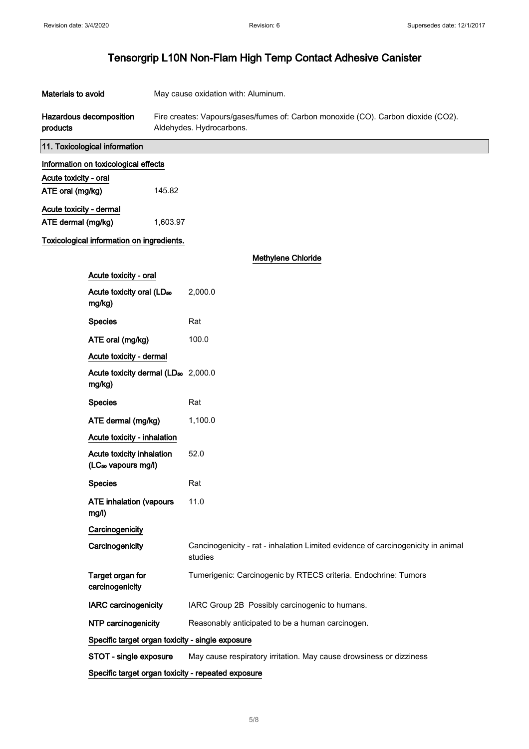| Materials to avoid      |                                                              | May cause oxidation with: Aluminum.                                                                           |                                                                                             |
|-------------------------|--------------------------------------------------------------|---------------------------------------------------------------------------------------------------------------|---------------------------------------------------------------------------------------------|
| products                | <b>Hazardous decomposition</b>                               | Fire creates: Vapours/gases/fumes of: Carbon monoxide (CO). Carbon dioxide (CO2).<br>Aldehydes. Hydrocarbons. |                                                                                             |
|                         | 11. Toxicological information                                |                                                                                                               |                                                                                             |
|                         | Information on toxicological effects                         |                                                                                                               |                                                                                             |
| Acute toxicity - oral   |                                                              |                                                                                                               |                                                                                             |
| ATE oral (mg/kg)        |                                                              | 145.82                                                                                                        |                                                                                             |
| Acute toxicity - dermal |                                                              |                                                                                                               |                                                                                             |
| ATE dermal (mg/kg)      |                                                              | 1,603.97                                                                                                      |                                                                                             |
|                         | Toxicological information on ingredients.                    |                                                                                                               |                                                                                             |
|                         |                                                              |                                                                                                               | <b>Methylene Chloride</b>                                                                   |
|                         | Acute toxicity - oral                                        |                                                                                                               |                                                                                             |
|                         | Acute toxicity oral (LD <sub>50</sub><br>mg/kg)              |                                                                                                               | 2,000.0                                                                                     |
|                         | <b>Species</b>                                               |                                                                                                               | Rat                                                                                         |
|                         | ATE oral (mg/kg)                                             |                                                                                                               | 100.0                                                                                       |
|                         | Acute toxicity - dermal                                      |                                                                                                               |                                                                                             |
|                         | Acute toxicity dermal (LD <sub>50</sub> 2,000.0<br>mg/kg)    |                                                                                                               |                                                                                             |
|                         | <b>Species</b>                                               |                                                                                                               | Rat                                                                                         |
|                         | ATE dermal (mg/kg)                                           |                                                                                                               | 1,100.0                                                                                     |
|                         | Acute toxicity - inhalation                                  |                                                                                                               |                                                                                             |
|                         | Acute toxicity inhalation<br>(LC <sub>50</sub> vapours mg/l) |                                                                                                               | 52.0                                                                                        |
|                         | <b>Species</b>                                               |                                                                                                               | Rat                                                                                         |
|                         | <b>ATE inhalation (vapours</b><br>mg/l)                      |                                                                                                               | 11.0                                                                                        |
|                         | Carcinogenicity                                              |                                                                                                               |                                                                                             |
|                         | Carcinogenicity                                              |                                                                                                               | Cancinogenicity - rat - inhalation Limited evidence of carcinogenicity in animal<br>studies |
|                         | Target organ for<br>carcinogenicity                          |                                                                                                               | Tumerigenic: Carcinogenic by RTECS criteria. Endochrine: Tumors                             |
|                         | <b>IARC</b> carcinogenicity                                  |                                                                                                               | IARC Group 2B Possibly carcinogenic to humans.                                              |
|                         | NTP carcinogenicity                                          |                                                                                                               | Reasonably anticipated to be a human carcinogen.                                            |
|                         | Specific target organ toxicity - single exposure             |                                                                                                               |                                                                                             |
|                         | STOT - single exposure                                       |                                                                                                               | May cause respiratory irritation. May cause drowsiness or dizziness                         |
|                         |                                                              |                                                                                                               | Specific target organ toxicity - repeated exposure                                          |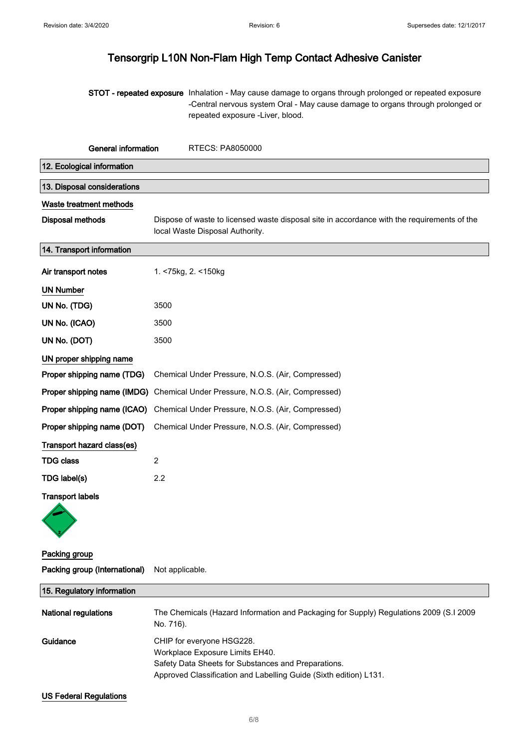STOT - repeated exposure Inhalation - May cause damage to organs through prolonged or repeated exposure -Central nervous system Oral - May cause damage to organs through prolonged or repeated exposure -Liver, blood.

| General information<br><b>RTECS: PA8050000</b> |                                                                                                                                |  |
|------------------------------------------------|--------------------------------------------------------------------------------------------------------------------------------|--|
| 12. Ecological information                     |                                                                                                                                |  |
| 13. Disposal considerations                    |                                                                                                                                |  |
| Waste treatment methods                        |                                                                                                                                |  |
| <b>Disposal methods</b>                        | Dispose of waste to licensed waste disposal site in accordance with the requirements of the<br>local Waste Disposal Authority. |  |
| 14. Transport information                      |                                                                                                                                |  |
| Air transport notes                            | 1. <75kg, 2. <150kg                                                                                                            |  |
| <b>UN Number</b>                               |                                                                                                                                |  |
| UN No. (TDG)                                   | 3500                                                                                                                           |  |
| UN No. (ICAO)                                  | 3500                                                                                                                           |  |
| UN No. (DOT)                                   | 3500                                                                                                                           |  |
| UN proper shipping name                        |                                                                                                                                |  |
| Proper shipping name (TDG)                     | Chemical Under Pressure, N.O.S. (Air, Compressed)                                                                              |  |
| Proper shipping name (IMDG)                    | Chemical Under Pressure, N.O.S. (Air, Compressed)                                                                              |  |
| Proper shipping name (ICAO)                    | Chemical Under Pressure, N.O.S. (Air, Compressed)                                                                              |  |
| Proper shipping name (DOT)                     | Chemical Under Pressure, N.O.S. (Air, Compressed)                                                                              |  |
| Transport hazard class(es)                     |                                                                                                                                |  |
| <b>TDG class</b>                               | $\overline{2}$                                                                                                                 |  |
| TDG label(s)                                   | 2.2                                                                                                                            |  |
| <b>Transport labels</b>                        |                                                                                                                                |  |
|                                                |                                                                                                                                |  |
| Packing group                                  |                                                                                                                                |  |
| Packing group (International)                  | Not applicable.                                                                                                                |  |
| 15. Regulatory information                     |                                                                                                                                |  |

| <b>National regulations</b> | The Chemicals (Hazard Information and Packaging for Supply) Regulations 2009 (S.I 2009<br>No. 716).                      |
|-----------------------------|--------------------------------------------------------------------------------------------------------------------------|
| Guidance                    | CHIP for everyone HSG228.<br>Workplace Exposure Limits EH40.                                                             |
|                             | Safety Data Sheets for Substances and Preparations.<br>Approved Classification and Labelling Guide (Sixth edition) L131. |

#### US Federal Regulations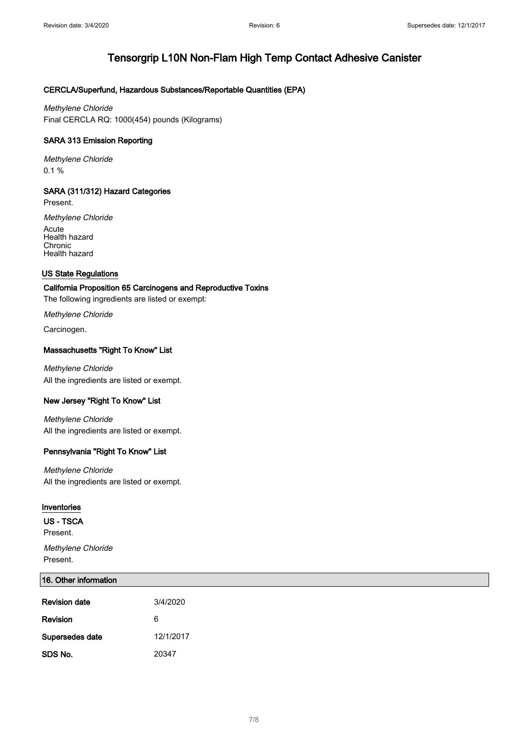#### CERCLA/Superfund, Hazardous Substances/Reportable Quantities (EPA)

Methylene Chloride Final CERCLA RQ: 1000(454) pounds (Kilograms)

#### SARA 313 Emission Reporting

Methylene Chloride 0.1 %

#### SARA (311/312) Hazard Categories

Present.

Methylene Chloride Acute Health hazard

**Chronic** Health hazard

#### US State Regulations

#### California Proposition 65 Carcinogens and Reproductive Toxins

The following ingredients are listed or exempt:

Methylene Chloride

Carcinogen.

#### Massachusetts "Right To Know" List

Methylene Chloride All the ingredients are listed or exempt.

#### New Jersey "Right To Know" List

Methylene Chloride All the ingredients are listed or exempt.

#### Pennsylvania "Right To Know" List

Methylene Chloride All the ingredients are listed or exempt.

#### Inventories

US - TSCA

Present.

Methylene Chloride Present.

#### 16. Other information

| <b>Revision date</b> | 3/4/2020  |
|----------------------|-----------|
| Revision             | 6         |
| Supersedes date      | 12/1/2017 |
| SDS No.              | 20347     |